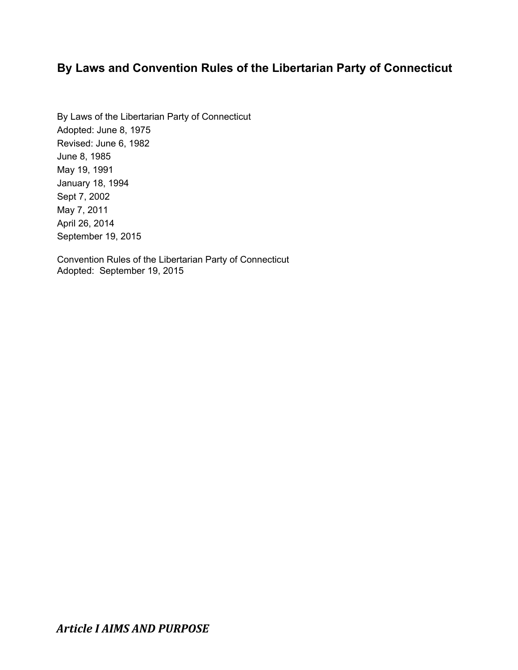# **By Laws and Convention Rules of the Libertarian Party of Connecticut**

By Laws of the Libertarian Party of Connecticut Adopted: June 8, 1975 Revised: June 6, 1982 June 8, 1985 May 19, 1991 January 18, 1994 Sept 7, 2002 May 7, 2011 April 26, 2014 September 19, 2015

Convention Rules of the Libertarian Party of Connecticut Adopted: September 19, 2015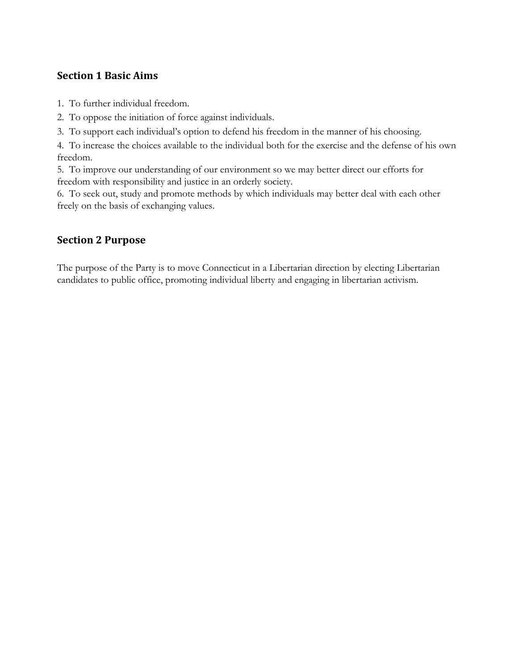### **Section 1 Basic Aims**

1. To further individual freedom.

2. To oppose the initiation of force against individuals.

3. To support each individual's option to defend his freedom in the manner of his choosing.

4. To increase the choices available to the individual both for the exercise and the defense of his own freedom.

5. To improve our understanding of our environment so we may better direct our efforts for freedom with responsibility and justice in an orderly society.

6. To seek out, study and promote methods by which individuals may better deal with each other freely on the basis of exchanging values.

## **Section 2 Purpose**

The purpose of the Party is to move Connecticut in a Libertarian direction by electing Libertarian candidates to public office, promoting individual liberty and engaging in libertarian activism.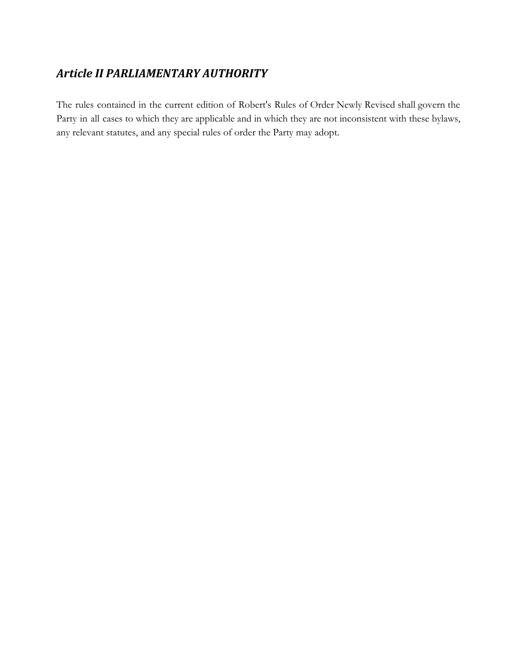# *Article II PARLIAMENTARY AUTHORITY*

The rules contained in the current edition of Robert's Rules of Order Newly Revised shall govern the Party in all cases to which they are applicable and in which they are not inconsistent with these bylaws, any relevant statutes, and any special rules of order the Party may adopt.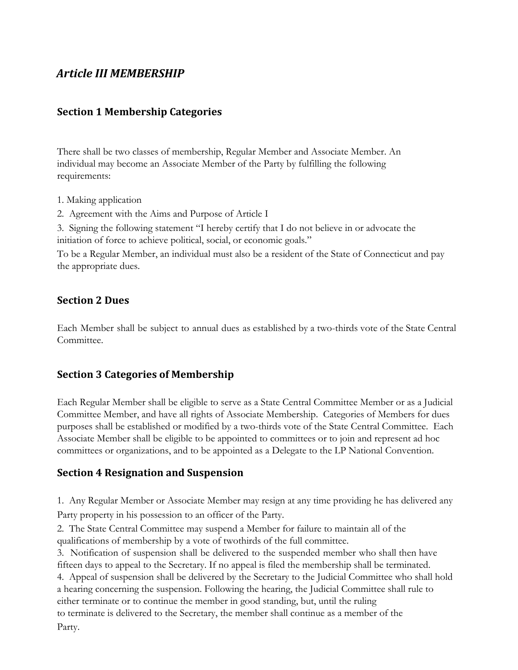# *Article III MEMBERSHIP*

### **Section 1 Membership Categories**

There shall be two classes of membership, Regular Member and Associate Member. An individual may become an Associate Member of the Party by fulfilling the following requirements:

- 1. Making application
- 2. Agreement with the Aims and Purpose of Article I

3. Signing the following statement "I hereby certify that I do not believe in or advocate the initiation of force to achieve political, social, or economic goals."

To be a Regular Member, an individual must also be a resident of the State of Connecticut and pay the appropriate dues.

### **Section 2 Dues**

Each Member shall be subject to annual dues as established by a two-thirds vote of the State Central Committee.

### **Section 3 Categories of Membership**

Each Regular Member shall be eligible to serve as a State Central Committee Member or as a Judicial Committee Member, and have all rights of Associate Membership. Categories of Members for dues purposes shall be established or modified by a two-thirds vote of the State Central Committee. Each Associate Member shall be eligible to be appointed to committees or to join and represent ad hoc committees or organizations, and to be appointed as a Delegate to the LP National Convention.

### **Section 4 Resignation and Suspension**

1. Any Regular Member or Associate Member may resign at any time providing he has delivered any Party property in his possession to an officer of the Party.

2. The State Central Committee may suspend a Member for failure to maintain all of the qualifications of membership by a vote of twothirds of the full committee.

3. Notification of suspension shall be delivered to the suspended member who shall then have fifteen days to appeal to the Secretary. If no appeal is filed the membership shall be terminated.

4. Appeal of suspension shall be delivered by the Secretary to the Judicial Committee who shall hold a hearing concerning the suspension. Following the hearing, the Judicial Committee shall rule to either terminate or to continue the member in good standing, but, until the ruling to terminate is delivered to the Secretary, the member shall continue as a member of the

Party.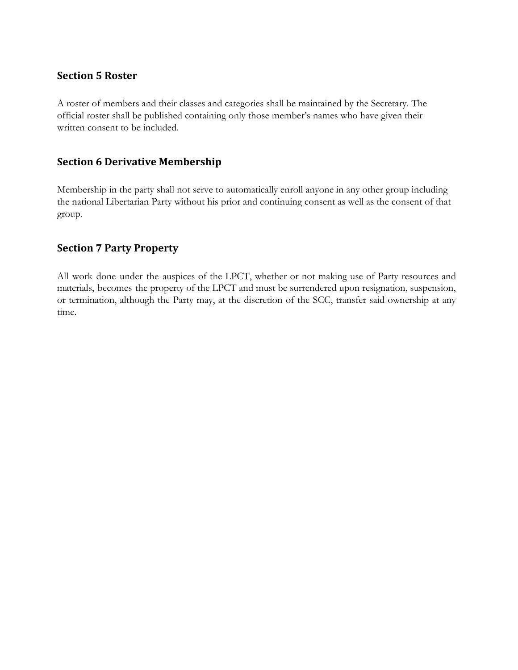#### **Section 5 Roster**

A roster of members and their classes and categories shall be maintained by the Secretary. The official roster shall be published containing only those member's names who have given their written consent to be included.

### **Section 6 Derivative Membership**

Membership in the party shall not serve to automatically enroll anyone in any other group including the national Libertarian Party without his prior and continuing consent as well as the consent of that group.

### **Section 7 Party Property**

All work done under the auspices of the LPCT, whether or not making use of Party resources and materials, becomes the property of the LPCT and must be surrendered upon resignation, suspension, or termination, although the Party may, at the discretion of the SCC, transfer said ownership at any time.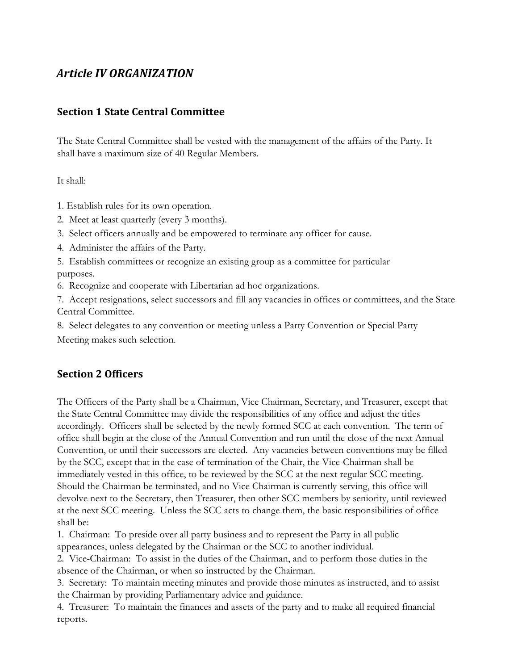# *Article IV ORGANIZATION*

### **Section 1 State Central Committee**

The State Central Committee shall be vested with the management of the affairs of the Party. It shall have a maximum size of 40 Regular Members.

It shall:

1. Establish rules for its own operation.

- 2. Meet at least quarterly (every 3 months).
- 3. Select officers annually and be empowered to terminate any officer for cause.
- 4. Administer the affairs of the Party.

5. Establish committees or recognize an existing group as a committee for particular purposes.

6. Recognize and cooperate with Libertarian ad hoc organizations.

7. Accept resignations, select successors and fill any vacancies in offices or committees, and the State Central Committee.

8. Select delegates to any convention or meeting unless a Party Convention or Special Party Meeting makes such selection.

## **Section 2 Officers**

The Officers of the Party shall be a Chairman, Vice Chairman, Secretary, and Treasurer, except that the State Central Committee may divide the responsibilities of any office and adjust the titles accordingly. Officers shall be selected by the newly formed SCC at each convention. The term of office shall begin at the close of the Annual Convention and run until the close of the next Annual Convention, or until their successors are elected. Any vacancies between conventions may be filled by the SCC, except that in the case of termination of the Chair, the Vice-Chairman shall be immediately vested in this office, to be reviewed by the SCC at the next regular SCC meeting. Should the Chairman be terminated, and no Vice Chairman is currently serving, this office will devolve next to the Secretary, then Treasurer, then other SCC members by seniority, until reviewed at the next SCC meeting. Unless the SCC acts to change them, the basic responsibilities of office shall be:

1. Chairman: To preside over all party business and to represent the Party in all public appearances, unless delegated by the Chairman or the SCC to another individual.

2. Vice-Chairman: To assist in the duties of the Chairman, and to perform those duties in the absence of the Chairman, or when so instructed by the Chairman.

3. Secretary: To maintain meeting minutes and provide those minutes as instructed, and to assist the Chairman by providing Parliamentary advice and guidance.

4. Treasurer: To maintain the finances and assets of the party and to make all required financial reports.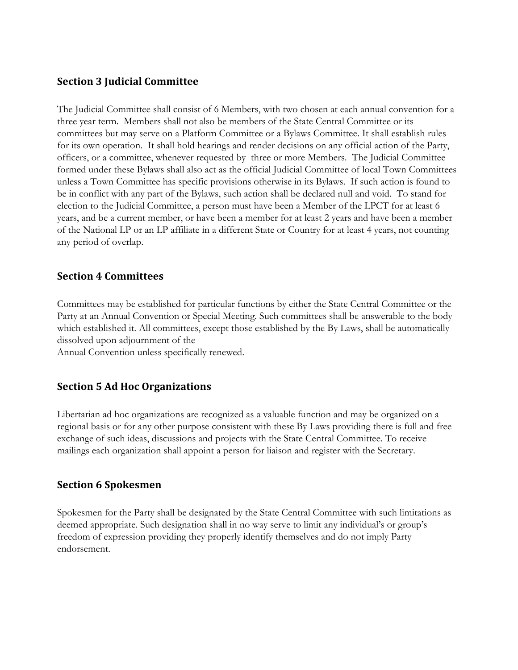### **Section 3 Judicial Committee**

The Judicial Committee shall consist of 6 Members, with two chosen at each annual convention for a three year term. Members shall not also be members of the State Central Committee or its committees but may serve on a Platform Committee or a Bylaws Committee. It shall establish rules for its own operation. It shall hold hearings and render decisions on any official action of the Party, officers, or a committee, whenever requested by three or more Members. The Judicial Committee formed under these Bylaws shall also act as the official Judicial Committee of local Town Committees unless a Town Committee has specific provisions otherwise in its Bylaws. If such action is found to be in conflict with any part of the Bylaws, such action shall be declared null and void. To stand for election to the Judicial Committee, a person must have been a Member of the LPCT for at least 6 years, and be a current member, or have been a member for at least 2 years and have been a member of the National LP or an LP affiliate in a different State or Country for at least 4 years, not counting any period of overlap.

### **Section 4 Committees**

Committees may be established for particular functions by either the State Central Committee or the Party at an Annual Convention or Special Meeting. Such committees shall be answerable to the body which established it. All committees, except those established by the By Laws, shall be automatically dissolved upon adjournment of the

Annual Convention unless specifically renewed.

### **Section 5 Ad Hoc Organizations**

Libertarian ad hoc organizations are recognized as a valuable function and may be organized on a regional basis or for any other purpose consistent with these By Laws providing there is full and free exchange of such ideas, discussions and projects with the State Central Committee. To receive mailings each organization shall appoint a person for liaison and register with the Secretary.

#### **Section 6 Spokesmen**

Spokesmen for the Party shall be designated by the State Central Committee with such limitations as deemed appropriate. Such designation shall in no way serve to limit any individual's or group's freedom of expression providing they properly identify themselves and do not imply Party endorsement.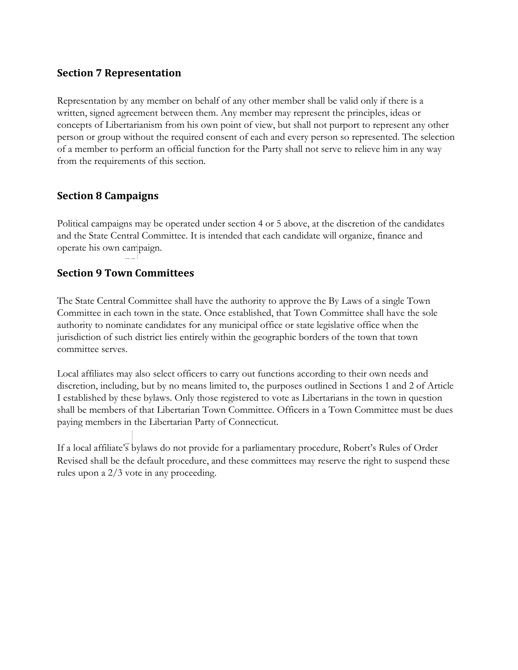### **Section 7 Representation**

Representation by any member on behalf of any other member shall be valid only if there is a written, signed agreement between them. Any member may represent the principles, ideas or concepts of Libertarianism from his own point of view, but shall not purport to represent any other person or group without the required consent of each and every person so represented. The selection of a member to perform an official function for the Party shall not serve to relieve him in any way from the requirements of this section.

### **Section 8 Campaigns**

Political campaigns may be operated under section 4 or 5 above, at the discretion of the candidates and the State Central Committee. It is intended that each candidate will organize, finance and operate his own campaign.

### **Section 9 Town Committees**

The State Central Committee shall have the authority to approve the By Laws of a single Town Committee in each town in the state. Once established, that Town Committee shall have the sole authority to nominate candidates for any municipal office or state legislative office when the jurisdiction of such district lies entirely within the geographic borders of the town that town committee serves.

Local affiliates may also select officers to carry out functions according to their own needs and discretion, including, but by no means limited to, the purposes outlined in Sections 1 and 2 of Article I established by these bylaws. Only those registered to vote as Libertarians in the town in question shall be members of that Libertarian Town Committee. Officers in a Town Committee must be dues paying members in the Libertarian Party of Connecticut.

If a local affiliate's bylaws do not provide for a parliamentary procedure, Robert's Rules of Order Revised shall be the default procedure, and these committees may reserve the right to suspend these rules upon a 2/3 vote in any proceeding.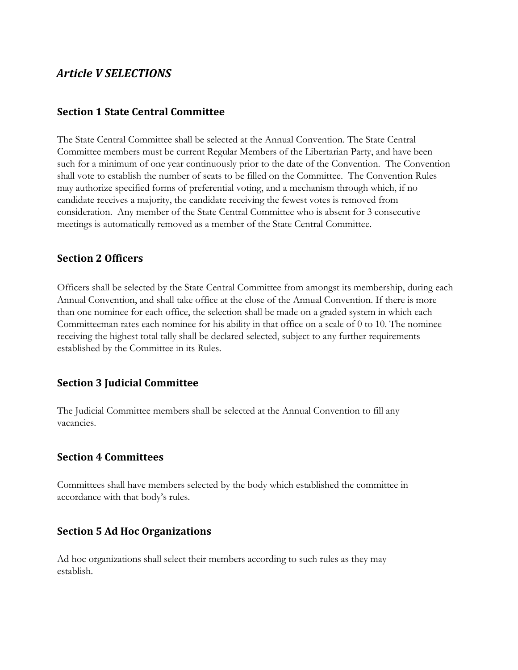## *Article V SELECTIONS*

#### **Section 1 State Central Committee**

The State Central Committee shall be selected at the Annual Convention. The State Central Committee members must be current Regular Members of the Libertarian Party, and have been such for a minimum of one year continuously prior to the date of the Convention. The Convention shall vote to establish the number of seats to be filled on the Committee. The Convention Rules may authorize specified forms of preferential voting, and a mechanism through which, if no candidate receives a majority, the candidate receiving the fewest votes is removed from consideration. Any member of the State Central Committee who is absent for 3 consecutive meetings is automatically removed as a member of the State Central Committee.

#### **Section 2 Officers**

Officers shall be selected by the State Central Committee from amongst its membership, during each Annual Convention, and shall take office at the close of the Annual Convention. If there is more than one nominee for each office, the selection shall be made on a graded system in which each Committeeman rates each nominee for his ability in that office on a scale of 0 to 10. The nominee receiving the highest total tally shall be declared selected, subject to any further requirements established by the Committee in its Rules.

### **Section 3 Judicial Committee**

The Judicial Committee members shall be selected at the Annual Convention to fill any vacancies.

#### **Section 4 Committees**

Committees shall have members selected by the body which established the committee in accordance with that body's rules.

#### **Section 5 Ad Hoc Organizations**

Ad hoc organizations shall select their members according to such rules as they may establish.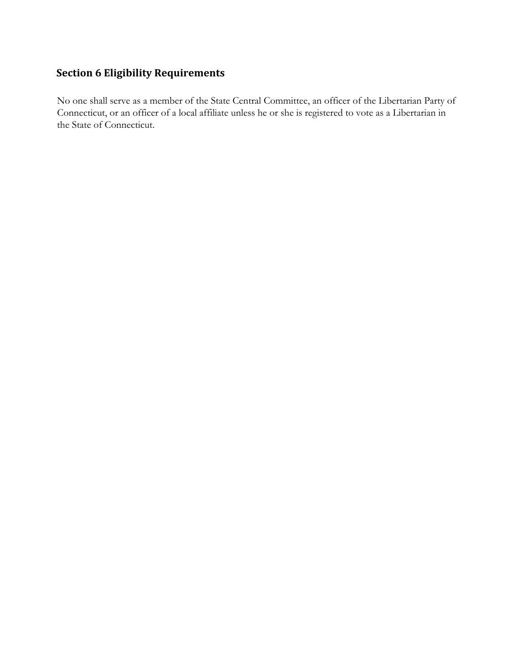# **Section 6 Eligibility Requirements**

No one shall serve as a member of the State Central Committee, an officer of the Libertarian Party of Connecticut, or an officer of a local affiliate unless he or she is registered to vote as a Libertarian in the State of Connecticut.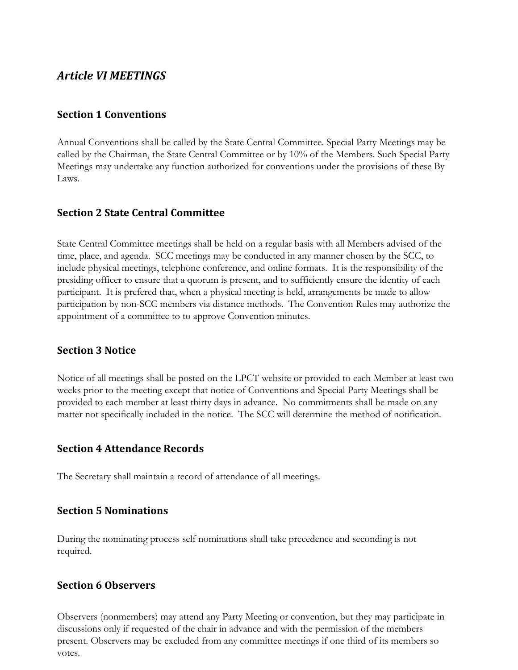## *Article VI MEETINGS*

#### **Section 1 Conventions**

Annual Conventions shall be called by the State Central Committee. Special Party Meetings may be called by the Chairman, the State Central Committee or by 10% of the Members. Such Special Party Meetings may undertake any function authorized for conventions under the provisions of these By Laws.

### **Section 2 State Central Committee**

State Central Committee meetings shall be held on a regular basis with all Members advised of the time, place, and agenda. SCC meetings may be conducted in any manner chosen by the SCC, to include physical meetings, telephone conference, and online formats. It is the responsibility of the presiding officer to ensure that a quorum is present, and to sufficiently ensure the identity of each participant. It is prefered that, when a physical meeting is held, arrangements be made to allow participation by non-SCC members via distance methods. The Convention Rules may authorize the appointment of a committee to to approve Convention minutes.

#### **Section 3 Notice**

Notice of all meetings shall be posted on the LPCT website or provided to each Member at least two weeks prior to the meeting except that notice of Conventions and Special Party Meetings shall be provided to each member at least thirty days in advance. No commitments shall be made on any matter not specifically included in the notice. The SCC will determine the method of notification.

#### **Section 4 Attendance Records**

The Secretary shall maintain a record of attendance of all meetings.

#### **Section 5 Nominations**

During the nominating process self nominations shall take precedence and seconding is not required.

#### **Section 6 Observers**

Observers (nonmembers) may attend any Party Meeting or convention, but they may participate in discussions only if requested of the chair in advance and with the permission of the members present. Observers may be excluded from any committee meetings if one third of its members so votes.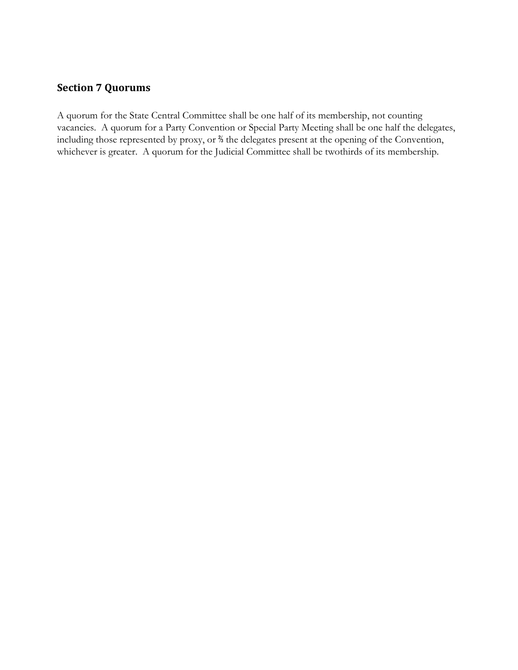### **Section 7 Quorums**

A quorum for the State Central Committee shall be one half of its membership, not counting vacancies. A quorum for a Party Convention or Special Party Meeting shall be one half the delegates, including those represented by proxy, or <sup>%</sup> the delegates present at the opening of the Convention, whichever is greater. A quorum for the Judicial Committee shall be twothirds of its membership.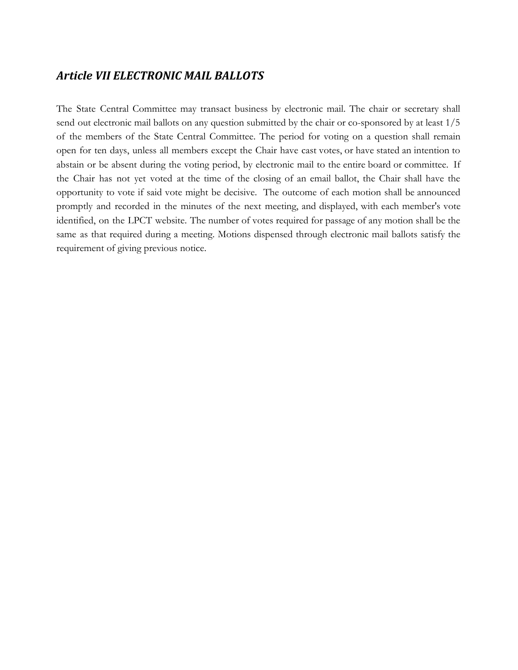## *Article VII ELECTRONIC MAIL BALLOTS*

The State Central Committee may transact business by electronic mail. The chair or secretary shall send out electronic mail ballots on any question submitted by the chair or co-sponsored by at least 1/5 of the members of the State Central Committee. The period for voting on a question shall remain open for ten days, unless all members except the Chair have cast votes, or have stated an intention to abstain or be absent during the voting period, by electronic mail to the entire board or committee. If the Chair has not yet voted at the time of the closing of an email ballot, the Chair shall have the opportunity to vote if said vote might be decisive. The outcome of each motion shall be announced promptly and recorded in the minutes of the next meeting, and displayed, with each member's vote identified, on the LPCT website. The number of votes required for passage of any motion shall be the same as that required during a meeting. Motions dispensed through electronic mail ballots satisfy the requirement of giving previous notice.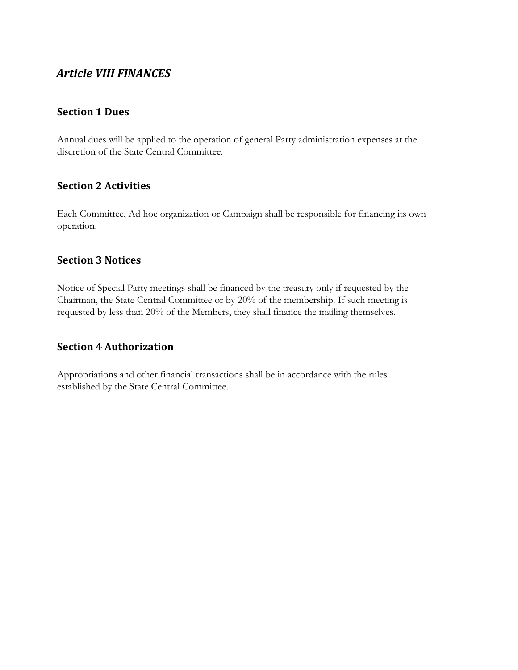# *Article VIII FINANCES*

#### **Section 1 Dues**

Annual dues will be applied to the operation of general Party administration expenses at the discretion of the State Central Committee.

### **Section 2 Activities**

Each Committee, Ad hoc organization or Campaign shall be responsible for financing its own operation.

#### **Section 3 Notices**

Notice of Special Party meetings shall be financed by the treasury only if requested by the Chairman, the State Central Committee or by 20% of the membership. If such meeting is requested by less than 20% of the Members, they shall finance the mailing themselves.

### **Section 4 Authorization**

Appropriations and other financial transactions shall be in accordance with the rules established by the State Central Committee.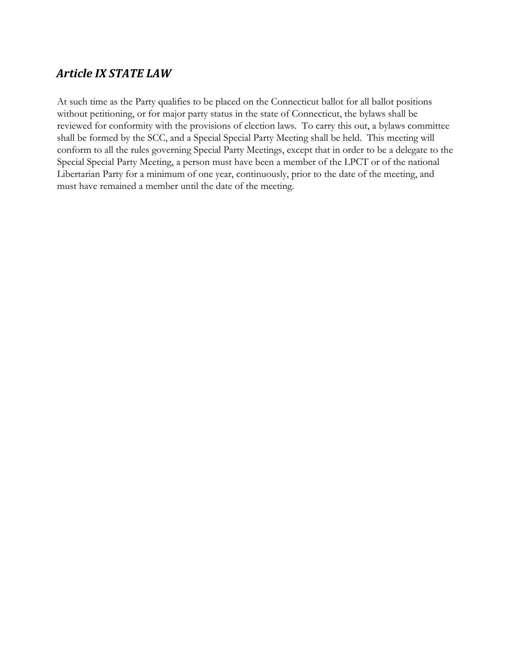# *Article IX STATE LAW*

At such time as the Party qualifies to be placed on the Connecticut ballot for all ballot positions without petitioning, or for major party status in the state of Connecticut, the bylaws shall be reviewed for conformity with the provisions of election laws. To carry this out, a bylaws committee shall be formed by the SCC, and a Special Special Party Meeting shall be held. This meeting will conform to all the rules governing Special Party Meetings, except that in order to be a delegate to the Special Special Party Meeting, a person must have been a member of the LPCT or of the national Libertarian Party for a minimum of one year, continuously, prior to the date of the meeting, and must have remained a member until the date of the meeting.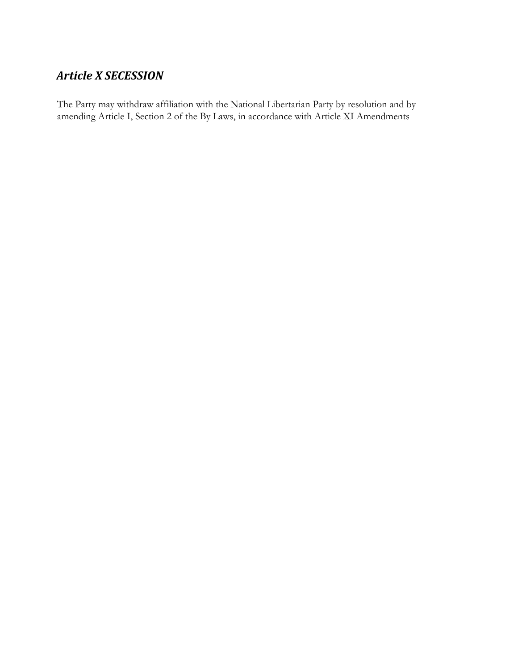# *Article X SECESSION*

The Party may withdraw affiliation with the National Libertarian Party by resolution and by amending Article I, Section 2 of the By Laws, in accordance with Article XI Amendments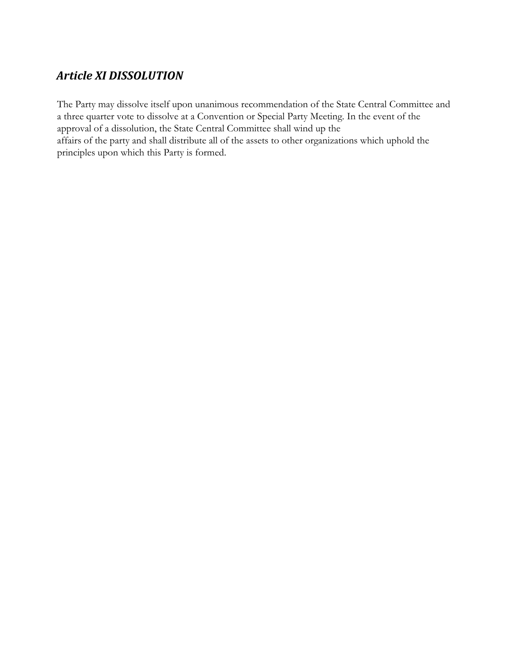# *Article XI DISSOLUTION*

The Party may dissolve itself upon unanimous recommendation of the State Central Committee and a three quarter vote to dissolve at a Convention or Special Party Meeting. In the event of the approval of a dissolution, the State Central Committee shall wind up the affairs of the party and shall distribute all of the assets to other organizations which uphold the principles upon which this Party is formed.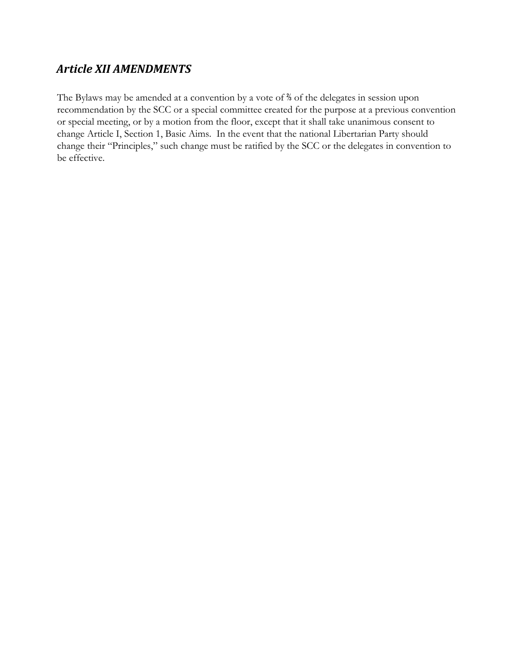# *Article XII AMENDMENTS*

The Bylaws may be amended at a convention by a vote of <sup>%</sup> of the delegates in session upon recommendation by the SCC or a special committee created for the purpose at a previous convention or special meeting, or by a motion from the floor, except that it shall take unanimous consent to change Article I, Section 1, Basic Aims. In the event that the national Libertarian Party should change their "Principles," such change must be ratified by the SCC or the delegates in convention to be effective.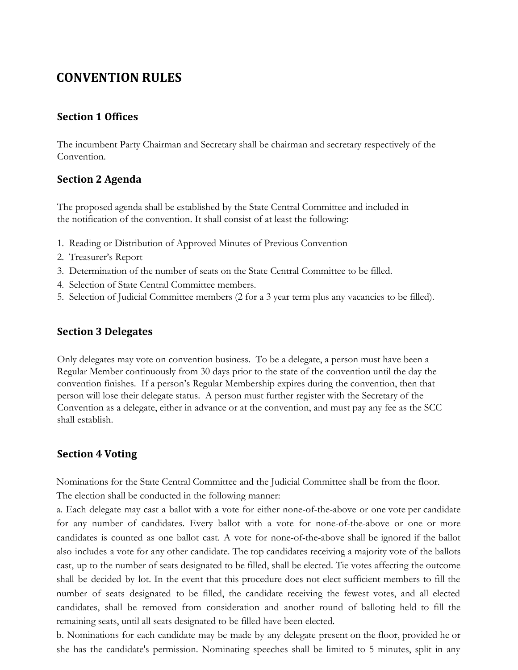# **CONVENTION RULES**

#### **Section 1 Offices**

The incumbent Party Chairman and Secretary shall be chairman and secretary respectively of the Convention.

### **Section 2 Agenda**

The proposed agenda shall be established by the State Central Committee and included in the notification of the convention. It shall consist of at least the following:

- 1. Reading or Distribution of Approved Minutes of Previous Convention
- 2. Treasurer's Report
- 3. Determination of the number of seats on the State Central Committee to be filled.
- 4. Selection of State Central Committee members.
- 5. Selection of Judicial Committee members (2 for a 3 year term plus any vacancies to be filled).

#### **Section 3 Delegates**

Only delegates may vote on convention business. To be a delegate, a person must have been a Regular Member continuously from 30 days prior to the state of the convention until the day the convention finishes. If a person's Regular Membership expires during the convention, then that person will lose their delegate status. A person must further register with the Secretary of the Convention as a delegate, either in advance or at the convention, and must pay any fee as the SCC shall establish.

#### **Section 4 Voting**

Nominations for the State Central Committee and the Judicial Committee shall be from the floor. The election shall be conducted in the following manner:

a. Each delegate may cast a ballot with a vote for either none-of-the-above or one vote per candidate for any number of candidates. Every ballot with a vote for none-of-the-above or one or more candidates is counted as one ballot cast. A vote for none-of-the-above shall be ignored if the ballot also includes a vote for any other candidate. The top candidates receiving a majority vote of the ballots cast, up to the number of seats designated to be filled, shall be elected. Tie votes affecting the outcome shall be decided by lot. In the event that this procedure does not elect sufficient members to fill the number of seats designated to be filled, the candidate receiving the fewest votes, and all elected candidates, shall be removed from consideration and another round of balloting held to fill the remaining seats, until all seats designated to be filled have been elected.

b. Nominations for each candidate may be made by any delegate present on the floor, provided he or she has the candidate's permission. Nominating speeches shall be limited to 5 minutes, split in any